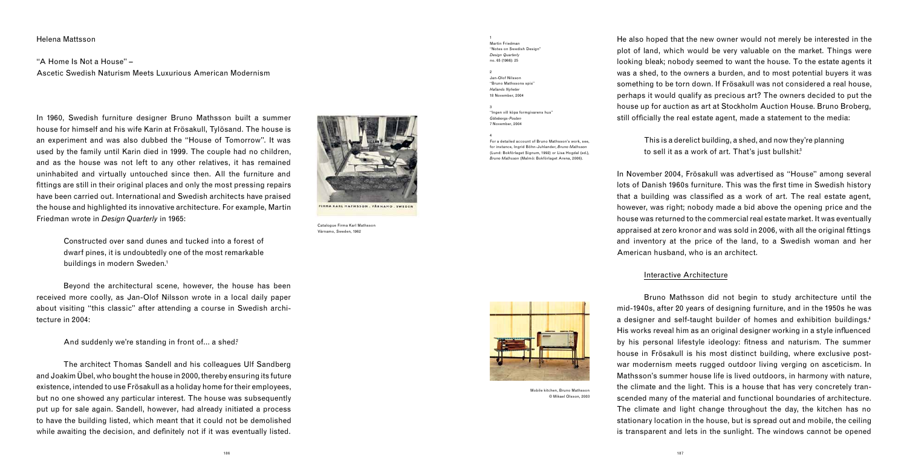### Helena Mattsson

"A Home Is Not a House" – Ascetic Swedish Naturism Meets Luxurious American Modernism

> Constructed over sand dunes and tucked into a forest of dwarf pines, it is undoubtedly one of the most remarkable buildings in modern Sweden.<sup>1</sup>

In 1960, Swedish furniture designer Bruno Mathsson built a summer house for himself and his wife Karin at Frösakull, Tylösand. The house is an experiment and was also dubbed the "House of Tomorrow". It was used by the family until Karin died in 1999. The couple had no children, and as the house was not left to any other relatives, it has remained uninhabited and virtually untouched since then. All the furniture and fittings are still in their original places and only the most pressing repairs have been carried out. International and Swedish architects have praised the house and highlighted its innovative architecture. For example, Martin Friedman wrote in *Design Quarterly* in 1965:

 The architect Thomas Sandell and his colleagues Ulf Sandberg and Joakim Übel, who bought the house in 2000, thereby ensuring its future existence, intended to use Frösakull as a holiday home for their employees, but no one showed any particular interest. The house was subsequently put up for sale again. Sandell, however, had already initiated a process to have the building listed, which meant that it could not be demolished while awaiting the decision, and definitely not if it was eventually listed.



He also hoped that the new owner would not merely be interested in the plot of land, which would be very valuable on the market. Things were looking bleak; nobody seemed to want the house. To the estate agents it was a shed, to the owners a burden, and to most potential buyers it was something to be torn down. If Frösakull was not considered a real house, perhaps it would qualify as precious art? The owners decided to put the house up for auction as art at Stockholm Auction House. Bruno Broberg, still officially the real estate agent, made a statement to the media:

 Beyond the architectural scene, however, the house has been received more coolly, as Jan-Olof Nilsson wrote in a local daily paper about visiting "this classic" after attending a course in Swedish architecture in 2004:

And suddenly we're standing in front of... a shed.<sup>2</sup>

This is a derelict building, a shed, and now they're planning to sell it as a work of art. That's just bullshit.<sup>3</sup>

Mobile kitchen, Bruno Mathsson © Mikael Olsson, 2003

In November 2004, Frösakull was advertised as "House" among several lots of Danish 1960s furniture. This was the first time in Swedish history that a building was classified as a work of art. The real estate agent, however, was right; nobody made a bid above the opening price and the house was returned to the commercial real estate market. It was eventually appraised at zero kronor and was sold in 2006, with all the original fittings and inventory at the price of the land, to a Swedish woman and her American husband, who is an architect.

# Interactive Architecture



 Bruno Mathsson did not begin to study architecture until the mid-1940s, after 20 years of designing furniture, and in the 1950s he was a designer and self-taught builder of homes and exhibition buildings.<sup>4</sup> His works reveal him as an original designer working in a style influenced by his personal lifestyle ideology: fitness and naturism. The summer house in Frösakull is his most distinct building, where exclusive postwar modernism meets rugged outdoor living verging on asceticism. In Mathsson's summer house life is lived outdoors, in harmony with nature, the climate and the light. This is a house that has very concretely transcended many of the material and functional boundaries of architecture. The climate and light change throughout the day, the kitchen has no stationary location in the house, but is spread out and mobile, the ceiling is transparent and lets in the sunlight. The windows cannot be opened

Catalogue Firma Karl Mathsson

Värnamo, Sweden, 1962

1 Martin Friedman "Notes on Swedish Design" *Design Quarterly* no. 65 (1966): 25

2 Jan-Olof Nilsson "Bruno Mathssons spis" *Hallands Nyheter* 18 November, 2004

3 "Ingen vill köpa formgivarens hus" *Göteborgs-Posten* 7 November, 2004

4

For a detailed account of Bruno Mathsson's work, see, for instance, Ingrid Böhn-Juhlander, *Bruno Mathsson* (Lund: Bokförlaget Signum, 1992) or Lisa Hogdal (ed.), *Bruno Mathsson* (Malmö: Bokförlaget Arena, 2006).

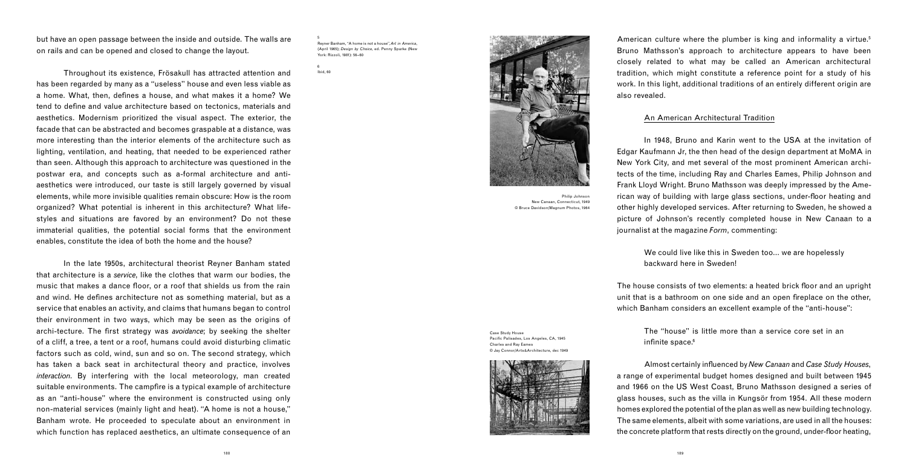but have an open passage between the inside and outside. The walls are on rails and can be opened and closed to change the layout.

 Throughout its existence, Frösakull has attracted attention and has been regarded by many as a "useless" house and even less viable as a home. What, then, defines a house, and what makes it a home? We tend to define and value architecture based on tectonics, materials and aesthetics. Modernism prioritized the visual aspect. The exterior, the facade that can be abstracted and becomes graspable at a distance, was more interesting than the interior elements of the architecture such as lighting, ventilation, and heating, that needed to be experienced rather than seen. Although this approach to architecture was questioned in the postwar era, and concepts such as a-formal architecture and antiaesthetics were introduced, our taste is still largely governed by visual elements, while more invisible qualities remain obscure: How is the room organized? What potential is inherent in this architecture? What lifestyles and situations are favored by an environment? Do not these immaterial qualities, the potential social forms that the environment enables, constitute the idea of both the home and the house?

American culture where the plumber is king and informality a virtue.<sup>5</sup> Bruno Mathsson's approach to architecture appears to have been closely related to what may be called an American architectural tradition, which might constitute a reference point for a study of his work. In this light, additional traditions of an entirely different origin are also revealed.

 In the late 1950s, architectural theorist Reyner Banham stated that architecture is a *service*, like the clothes that warm our bodies, the music that makes a dance floor, or a roof that shields us from the rain and wind. He defines architecture not as something material, but as a service that enables an activity, and claims that humans began to control their environment in two ways, which may be seen as the origins of archi-tecture. The first strategy was *avoidance*; by seeking the shelter of a cliff, a tree, a tent or a roof, humans could avoid disturbing climatic factors such as cold, wind, sun and so on. The second strategy, which has taken a back seat in architectural theory and practice, involves *interaction*. By interfering with the local meteorology, man created suitable environments. The campfire is a typical example of architecture as an "anti-house" where the environment is constructed using only non-material services (mainly light and heat). "A home is not a house," Banham wrote. He proceeded to speculate about an environment in which function has replaced aesthetics, an ultimate consequence of an

The house consists of two elements: a heated brick floor and an upright unit that is a bathroom on one side and an open fireplace on the other, which Banham considers an excellent example of the "anti-house":

> The "house" is little more than a service core set in an infinite space. $6$



Almost certainly influenced by *New Canaan* and *Case Study Houses*, a range of experimental budget homes designed and built between 1945 and 1966 on the US West Coast, Bruno Mathsson designed a series of glass houses, such as the villa in Kungsör from 1954. All these modern homes explored the potential of the plan as well as new building technology. The same elements, albeit with some variations, are used in all the houses: the concrete platform that rests directly on the ground, under-floor heating,

# An American Architectural Tradition

 In 1948, Bruno and Karin went to the USA at the invitation of Edgar Kaufmann Jr, the then head of the design department at MoMA in New York City, and met several of the most prominent American architects of the time, including Ray and Charles Eames, Philip Johnson and Frank Lloyd Wright. Bruno Mathsson was deeply impressed by the American way of building with large glass sections, under-floor heating and other highly developed services. After returning to Sweden, he showed a picture of Johnson's recently completed house in New Canaan to a journalist at the magazine *Form*, commenting:

> We could live like this in Sweden too… we are hopelessly backward here in Sweden!



New Canaan, Connecticut, 1949 © Bruce Davidson/Magnum Photos, 1964

5 Reyner Banham, "A home is not a house", *Art in America*, (April 1965); *Design by Choice*, ed. Penny Sparke (New York: Rizzoli, 1981): 56–60

6 Ibid, 60

Philip Johnson

Case Study House Pacific Palisades, Los Angeles, CA, 1945 Charles and Ray Eames © Jay Connor/Arts&Architecture, dec 1949

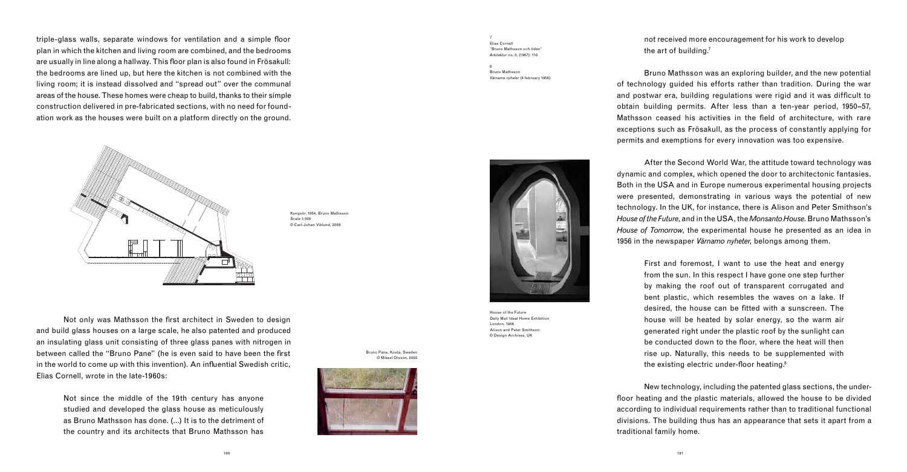triple-glass walls, separate windows for ventilation and a simple floor plan in which the kitchen and living room are combined, and the bedrooms are usually in line along a hallway. This floor plan is also found in Frösakull: the bedrooms are lined up, but here the kitchen is not combined with the living room; it is instead dissolved and "spread out" over the communal areas of the house. These homes were cheap to build, thanks to their simple construction delivered in pre-fabricated sections, with no need for foundation work as the houses were built on a platform directly on the ground.



Not only was Mathsson the first architect in Sweden to design and build glass houses on a large scale, he also patented and produced an insulating glass unit consisting of three glass panes with nitrogen in between called the "Bruno Pane" (he is even said to have been the first in the world to come up with this invention). An influential Swedish critic, Elias Cornell, wrote in the late-1960s:

not received more encouragement for his work to develop the art of building.<sup>7</sup>

Not since the middle of the 19th century has anyone studied and developed the glass house as meticulously as Bruno Mathsson has done. (…) It is to the detriment of the country and its architects that Bruno Mathsson has

First and foremost, I want to use the heat and energy from the sun. In this respect I have gone one step further by making the roof out of transparent corrugated and bent plastic, which resembles the waves on a lake. If desired, the house can be fitted with a sunscreen. The house will be heated by solar energy, so the warm air generated right under the plastic roof by the sunlight can be conducted down to the floor, where the heat will then rise up. Naturally, this needs to be supplemented with the existing electric under-floor heating. $8$ 

 Bruno Mathsson was an exploring builder, and the new potential of technology guided his efforts rather than tradition. During the war and postwar era, building regulations were rigid and it was difficult to obtain building permits. After less than a ten-year period, 1950–57, Mathsson ceased his activities in the field of architecture, with rare exceptions such as Frösakull, as the process of constantly applying for permits and exemptions for every innovation was too expensive.

 After the Second World War, the attitude toward technology was dynamic and complex, which opened the door to architectonic fantasies. Both in the USA and in Europe numerous experimental housing projects were presented, demonstrating in various ways the potential of new technology. In the UK, for instance, there is Alison and Peter Smithson's *House of the Future*, and in the USA, the *Monsanto House*. Bruno Mathsson's *House of Tomorrow*, the experimental house he presented as an idea in 1956 in the newspaper *Värnamo nyheter*, belongs among them.

 New technology, including the patented glass sections, the underfloor heating and the plastic materials, allowed the house to be divided according to individual requirements rather than to traditional functional divisions. The building thus has an appearance that sets it apart from a traditional family home.

House of the Future Daily Mail Ideal Home Exhibition London, 1956 Alison and Peter Smithson © Design Archives, UK

Bruno Pane, Kosta, Sweden © Mikael Olsson, 2002



Kungsör, 1954, Bruno Mathsson Scale 1:300 © Carl-Johan Viklund, 2009

7 Elias Cornell "Bruno Mathsson och tiden" *Arkitektur* no. 3, (1967): 110

8 Bruno Mathsson *Värnamo nyheter* (4 february 1956)



190 191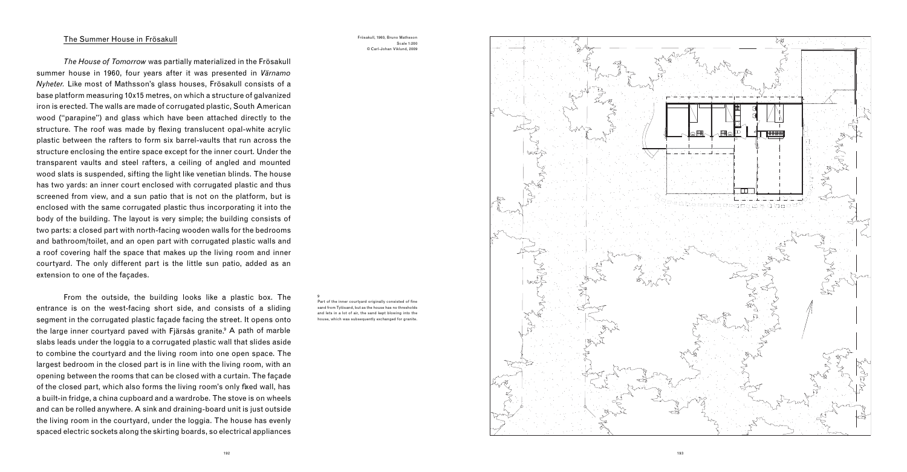### The Summer House in Frösakull

*The House of Tomorrow* was partially materialized in the Frösakull summer house in 1960, four years after it was presented in *Värnamo Nyheter.* Like most of Mathsson's glass houses, Frösakull consists of a base platform measuring 10x15 metres, on which a structure of galvanized iron is erected. The walls are made of corrugated plastic, South American wood ("parapine") and glass which have been attached directly to the structure. The roof was made by flexing translucent opal-white acrylic plastic between the rafters to form six barrel-vaults that run across the structure enclosing the entire space except for the inner court. Under the transparent vaults and steel rafters, a ceiling of angled and mounted wood slats is suspended, sifting the light like venetian blinds. The house has two yards: an inner court enclosed with corrugated plastic and thus screened from view, and a sun patio that is not on the platform, but is enclosed with the same corrugated plastic thus incorporating it into the body of the building. The layout is very simple; the building consists of two parts: a closed part with north-facing wooden walls for the bedrooms and bathroom/toilet, and an open part with corrugated plastic walls and a roof covering half the space that makes up the living room and inner courtyard. The only different part is the little sun patio, added as an extension to one of the façades.

> Part of the inner courtyard originally consisted of fine sand from Tylösand, but as the house has no thresholds and lets in a lot of air, the sand kept blowing into the house, which was subsequently exchanged for granite.





 From the outside, the building looks like a plastic box. The entrance is on the west-facing short side, and consists of a sliding segment in the corrugated plastic façade facing the street. It opens onto the large inner courtyard paved with Fjärsås granite. 9 A path of marble slabs leads under the loggia to a corrugated plastic wall that slides aside to combine the courtyard and the living room into one open space. The largest bedroom in the closed part is in line with the living room, with an opening between the rooms that can be closed with a curtain. The façade of the closed part, which also forms the living room's only fixed wall, has a built-in fridge, a china cupboard and a wardrobe. The stove is on wheels and can be rolled anywhere. A sink and draining-board unit is just outside the living room in the courtyard, under the loggia. The house has evenly spaced electric sockets along the skirting boards, so electrical appliances

Frösakull, 1960, Bruno Mathsson Scale 1:200 © Carl-Johan Viklund, 2009

9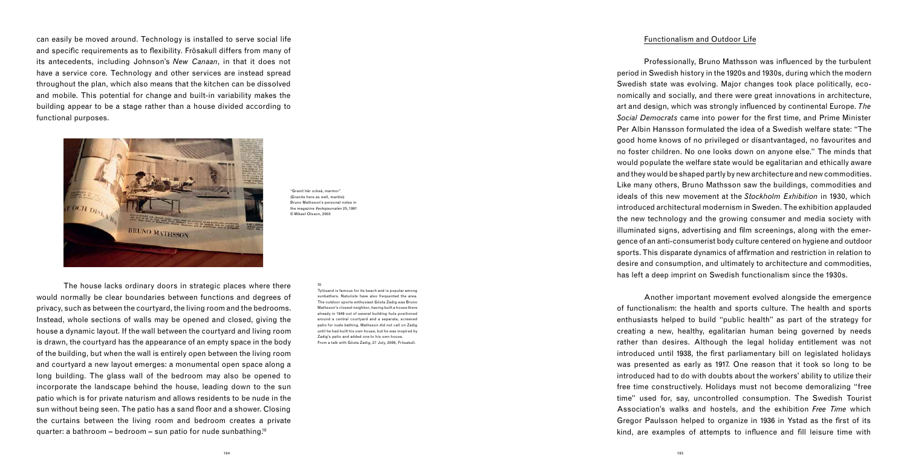can easily be moved around. Technology is installed to serve social life and specific requirements as to flexibility. Frösakull differs from many of its antecedents, including Johnson's *New Canaan*, in that it does not have a service core. Technology and other services are instead spread throughout the plan, which also means that the kitchen can be dissolved and mobile. This potential for change and built-in variability makes the building appear to be a stage rather than a house divided according to functional purposes.

 The house lacks ordinary doors in strategic places where there would normally be clear boundaries between functions and degrees of privacy, such as between the courtyard, the living room and the bedrooms. Instead, whole sections of walls may be opened and closed, giving the house a dynamic layout. If the wall between the courtyard and living room is drawn, the courtyard has the appearance of an empty space in the body of the building, but when the wall is entirely open between the living room and courtyard a new layout emerges: a monumental open space along a long building. The glass wall of the bedroom may also be opened to incorporate the landscape behind the house, leading down to the sun patio which is for private naturism and allows residents to be nude in the sun without being seen. The patio has a sand floor and a shower. Closing the curtains between the living room and bedroom creates a private quarter: a bathroom – bedroom – sun patio for nude sunbathing.<sup>10</sup>

Professionally, Bruno Mathsson was influenced by the turbulent period in Swedish history in the 1920s and 1930s, during which the modern Swedish state was evolving. Major changes took place politically, economically and socially, and there were great innovations in architecture, art and design, which was strongly influenced by continental Europe. The *Social Democrats* came into power for the first time, and Prime Minister Per Albin Hansson formulated the idea of a Swedish welfare state: "The good home knows of no privileged or disantvantaged, no favourites and no foster children. No one looks down on anyone else." The minds that would populate the welfare state would be egalitarian and ethically aware and they would be shaped partly by new architecture and new commodities. Like many others, Bruno Mathsson saw the buildings, commodities and ideals of this new movement at the *Stockholm Exhibition* in 1930, which introduced architectural modernism in Sweden. The exhibition applauded the new technology and the growing consumer and media society with illuminated signs, advertising and film screenings, along with the emergence of an anti-consumerist body culture centered on hygiene and outdoor sports. This disparate dynamics of affirmation and restriction in relation to desire and consumption, and ultimately to architecture and commodities, has left a deep imprint on Swedish functionalism since the 1930s.

 Another important movement evolved alongside the emergence of functionalism: the health and sports culture. The health and sports enthusiasts helped to build "public health" as part of the strategy for creating a new, healthy, egalitarian human being governed by needs rather than desires. Although the legal holiday entitlement was not introduced until 1938, the first parliamentary bill on legislated holidays was presented as early as 1917. One reason that it took so long to be introduced had to do with doubts about the workers' ability to utilize their free time constructively. Holidays must not become demoralizing "free time" used for, say, uncontrolled consumption. The Swedish Tourist Association's walks and hostels, and the exhibition *Free Time* which Gregor Paulsson helped to organize in 1936 in Ystad as the first of its kind, are examples of attempts to influence and fill leisure time with

#### Functionalism and Outdoor Life



"Granit här också, marmor" (Granite here as well, marble) Bruno Mathsson's personal notes in the magazine *Veckojournalen* 25, 1961 © Mikael Olsson, 2003

#### 10

Tylösand is famous for its beach and is popular among sunbathers. Naturists have also frequented the area. The outdoor sports enthusiast Gösta Zadig was Bruno Mathsson's closest neighbor, having built a house there already in 1949 out of several building huts positioned around a central courtyard and a separate, screened patio for nude bathing. Mathsson did not call on Zadig until he had built his own house, but he was inspired by Zadig's patio and added one to his own house. From a talk with Gösta Zadig, 27 July, 2006, Frösakull.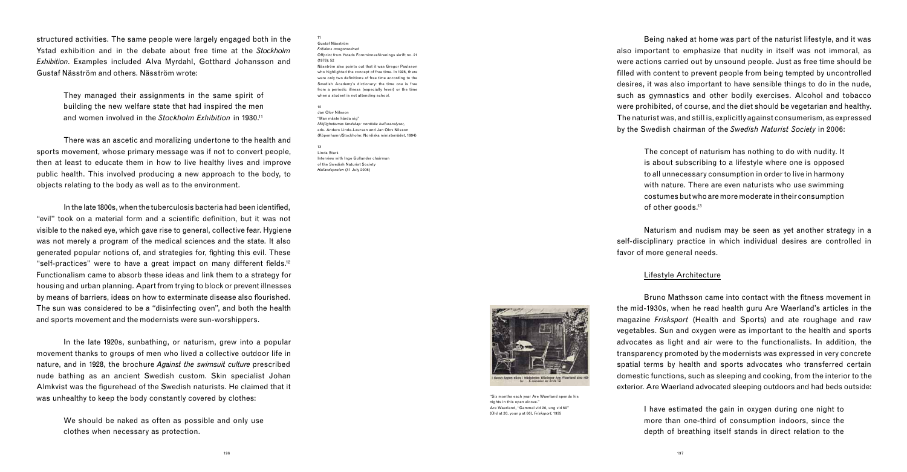structured activities. The same people were largely engaged both in the Ystad exhibition and in the debate about free time at the *Stockholm Exhibition*. Examples included Alva Myrdahl, Gotthard Johansson and Gustaf Näsström and others. Näsström wrote:

They managed their assignments in the same spirit of building the new welfare state that had inspired the men and women involved in the *Stockholm Exhibition* in 1930.11

 There was an ascetic and moralizing undertone to the health and sports movement, whose primary message was if not to convert people, then at least to educate them in how to live healthy lives and improve public health. This involved producing a new approach to the body, to objects relating to the body as well as to the environment.

In the late 1800s, when the tuberculosis bacteria had been identified. "evil" took on a material form and a scientific definition, but it was not visible to the naked eye, which gave rise to general, collective fear. Hygiene was not merely a program of the medical sciences and the state. It also generated popular notions of, and strategies for, fighting this evil. These "self-practices" were to have a great impact on many different fields.<sup>12</sup> Functionalism came to absorb these ideas and link them to a strategy for housing and urban planning. Apart from trying to block or prevent illnesses by means of barriers, ideas on how to exterminate disease also flourished. The sun was considered to be a "disinfecting oven", and both the health and sports movement and the modernists were sun-worshippers.

The concept of naturism has nothing to do with nudity. It is about subscribing to a lifestyle where one is opposed to all unnecessary consumption in order to live in harmony with nature. There are even naturists who use swimming costumes but who are more moderate in their consumption of other goods.<sup>13</sup>

 In the late 1920s, sunbathing, or naturism, grew into a popular movement thanks to groups of men who lived a collective outdoor life in nature, and in 1928, the brochure *Against the swimsuit culture* prescribed nude bathing as an ancient Swedish custom. Skin specialist Johan Almkvist was the figurehead of the Swedish naturists. He claimed that it was unhealthy to keep the body constantly covered by clothes:

Bruno Mathsson came into contact with the fitness movement in the mid-1930s, when he read health guru Are Waerland's articles in the magazine *Frisksport* (Health and Sports) and ate roughage and raw vegetables. Sun and oxygen were as important to the health and sports advocates as light and air were to the functionalists. In addition, the transparency promoted by the modernists was expressed in very concrete spatial terms by health and sports advocates who transferred certain domestic functions, such as sleeping and cooking, from the interior to the exterior. Are Waerland advocated sleeping outdoors and had beds outside:

We should be naked as often as possible and only use clothes when necessary as protection.

 Being naked at home was part of the naturist lifestyle, and it was also important to emphasize that nudity in itself was not immoral, as were actions carried out by unsound people. Just as free time should be filled with content to prevent people from being tempted by uncontrolled desires, it was also important to have sensible things to do in the nude, such as gymnastics and other bodily exercises. Alcohol and tobacco were prohibited, of course, and the diet should be vegetarian and healthy. The naturist was, and still is, explicitly against consumerism, as expressed by the Swedish chairman of the *Swedish Naturist Society* in 2006:

 Naturism and nudism may be seen as yet another strategy in a self-disciplinary practice in which individual desires are controlled in favor of more general needs.

# Lifestyle Architecture

I have estimated the gain in oxygen during one night to more than one-third of consumption indoors, since the depth of breathing itself stands in direct relation to the

"Six months each year Are Waerland spends his nights in this open alcove." Are Waerland, "Gammal vid 20, ung vid 60" (Old at 20, young at 60), *Frisksport*, 1935

11 Gustaf Näsström *Fritidens morgonrodnad* Offprint from Ystads Fornminnesförenings skrift no. 21 (1976): 52 Näsström also points out that it was Gregor Paulsson who highlighted the concept of free time. In 1926, there were only two definitions of free time according to the Swedish Academy's dictionary: the time one is free from a periodic illness (especially fever) or the time when a student is not attending school.

12 Jan Olov Nilsson "Man måste härda sig" *Möjligheternas landskap: nordiska kulturanalyser,* eds. Anders Linde-Laursen and Jan Olov Nilsson (Köpenhamn/Stockholm: Nordiska ministerrådet, 1994)

13 Linda Stark Interview with Inge Gullander chairman of the Swedish Naturist Society *Hallandsposten* (31 July 2006)

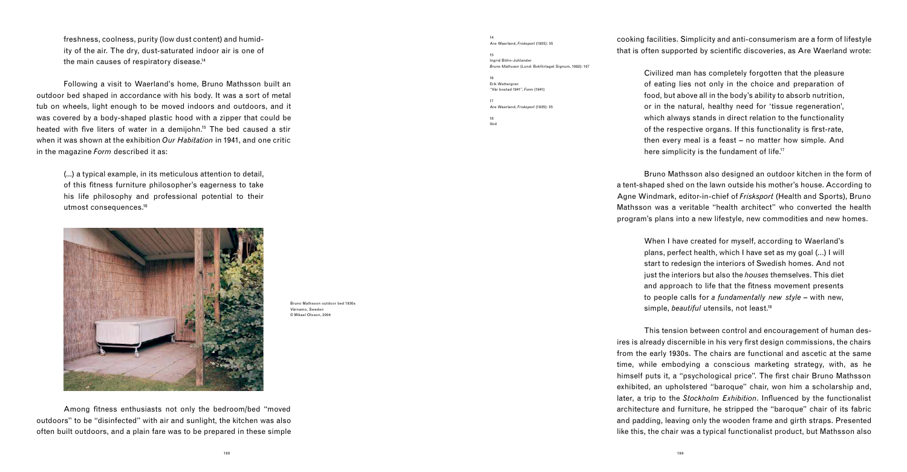freshness, coolness, purity (low dust content) and humidity of the air. The dry, dust-saturated indoor air is one of the main causes of respiratory disease.14

(...) a typical example, in its meticulous attention to detail, of this fitness furniture philosopher's eagerness to take his life philosophy and professional potential to their utmost consequences.<sup>16</sup>



 Following a visit to Waerland's home, Bruno Mathsson built an outdoor bed shaped in accordance with his body. It was a sort of metal tub on wheels, light enough to be moved indoors and outdoors, and it was covered by a body-shaped plastic hood with a zipper that could be heated with five liters of water in a demijohn.<sup>15</sup> The bed caused a stir when it was shown at the exhibition *Our Habitation* in 1941, and one critic in the magazine *Form* described it as:

Among fitness enthusiasts not only the bedroom/bed "moved outdoors" to be "disinfected" with air and sunlight, the kitchen was also often built outdoors, and a plain fare was to be prepared in these simple

cooking facilities. Simplicity and anti-consumerism are a form of lifestyle that is often supported by scientific discoveries, as Are Waerland wrote:

Civilized man has completely forgotten that the pleasure of eating lies not only in the choice and preparation of food, but above all in the body's ability to absorb nutrition, or in the natural, healthy need for 'tissue regeneration', which always stands in direct relation to the functionality of the respective organs. If this functionality is first-rate, then every meal is a feast – no matter how simple. And here simplicity is the fundament of life.<sup>17</sup>

 Bruno Mathsson also designed an outdoor kitchen in the form of a tent-shaped shed on the lawn outside his mother's house. According to Agne Windmark, editor-in-chief of *Frisksport* (Health and Sports), Bruno Mathsson was a veritable "health architect" who converted the health program's plans into a new lifestyle, new commodities and new homes.

> When I have created for myself, according to Waerland's plans, perfect health, which I have set as my goal (…) I will start to redesign the interiors of Swedish homes. And not just the interiors but also the *houses* themselves. This diet and approach to life that the fitness movement presents to people calls for *a fundamentally new style* – with new, simple, *beautiful* utensils, not least.18

 This tension between control and encouragement of human desires is already discernible in his very first design commissions, the chairs from the early 1930s. The chairs are functional and ascetic at the same time, while embodying a conscious marketing strategy, with, as he himself puts it, a "psychological price". The first chair Bruno Mathsson exhibited, an upholstered "baroque" chair, won him a scholarship and, later, a trip to the *Stockholm Exhibition*. Influenced by the functionalist architecture and furniture, he stripped the "baroque" chair of its fabric and padding, leaving only the wooden frame and girth straps. Presented like this, the chair was a typical functionalist product, but Mathsson also

Bruno Mathsson outdoor bed 1930s Värnamo, Sweden © Mikael Olsson, 2004

14 Are Waerland, *Frisksport* (1935): 35

15 Ingrid Böhn-Juhlander *Bruno Mathsson* (Lund: Bokförlaget Signum, 1992): 107

16 Erik Wettergren "Vår bostad 1941", *Form* (1941)

17 Are Waerland, *Frisksport* (1935): 35

18 Ibid